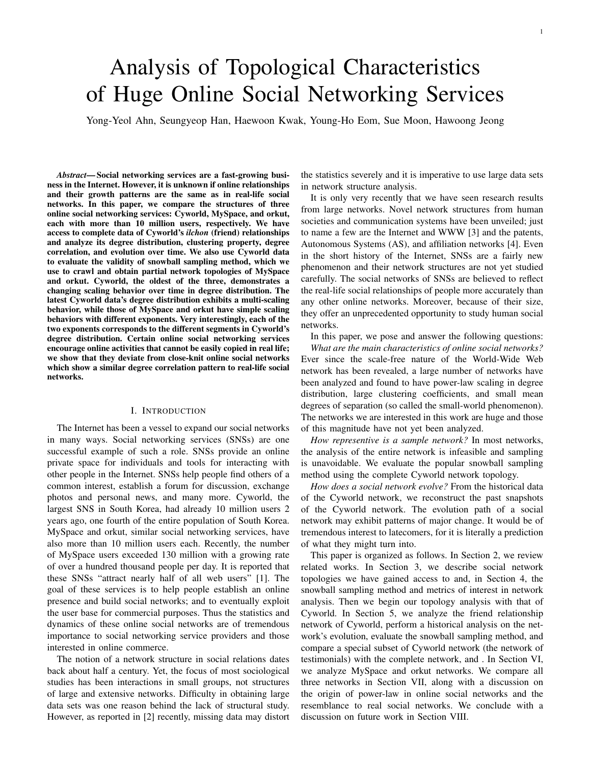# Analysis of Topological Characteristics of Huge Online Social Networking Services

Yong-Yeol Ahn, Seungyeop Han, Haewoon Kwak, Young-Ho Eom, Sue Moon, Hawoong Jeong

*Abstract*— Social networking services are a fast-growing business in the Internet. However, it is unknown if online relationships and their growth patterns are the same as in real-life social networks. In this paper, we compare the structures of three online social networking services: Cyworld, MySpace, and orkut, each with more than 10 million users, respectively. We have access to complete data of Cyworld's *ilchon* (friend) relationships and analyze its degree distribution, clustering property, degree correlation, and evolution over time. We also use Cyworld data to evaluate the validity of snowball sampling method, which we use to crawl and obtain partial network topologies of MySpace and orkut. Cyworld, the oldest of the three, demonstrates a changing scaling behavior over time in degree distribution. The latest Cyworld data's degree distribution exhibits a multi-scaling behavior, while those of MySpace and orkut have simple scaling behaviors with different exponents. Very interestingly, each of the two exponents corresponds to the different segments in Cyworld's degree distribution. Certain online social networking services encourage online activities that cannot be easily copied in real life; we show that they deviate from close-knit online social networks which show a similar degree correlation pattern to real-life social networks.

# I. INTRODUCTION

The Internet has been a vessel to expand our social networks in many ways. Social networking services (SNSs) are one successful example of such a role. SNSs provide an online private space for individuals and tools for interacting with other people in the Internet. SNSs help people find others of a common interest, establish a forum for discussion, exchange photos and personal news, and many more. Cyworld, the largest SNS in South Korea, had already 10 million users 2 years ago, one fourth of the entire population of South Korea. MySpace and orkut, similar social networking services, have also more than 10 million users each. Recently, the number of MySpace users exceeded 130 million with a growing rate of over a hundred thousand people per day. It is reported that these SNSs "attract nearly half of all web users" [1]. The goal of these services is to help people establish an online presence and build social networks; and to eventually exploit the user base for commercial purposes. Thus the statistics and dynamics of these online social networks are of tremendous importance to social networking service providers and those interested in online commerce.

The notion of a network structure in social relations dates back about half a century. Yet, the focus of most sociological studies has been interactions in small groups, not structures of large and extensive networks. Difficulty in obtaining large data sets was one reason behind the lack of structural study. However, as reported in [2] recently, missing data may distort

the statistics severely and it is imperative to use large data sets in network structure analysis.

It is only very recently that we have seen research results from large networks. Novel network structures from human societies and communication systems have been unveiled; just to name a few are the Internet and WWW [3] and the patents, Autonomous Systems (AS), and affiliation networks [4]. Even in the short history of the Internet, SNSs are a fairly new phenomenon and their network structures are not yet studied carefully. The social networks of SNSs are believed to reflect the real-life social relationships of people more accurately than any other online networks. Moreover, because of their size, they offer an unprecedented opportunity to study human social networks.

In this paper, we pose and answer the following questions: *What are the main characteristics of online social networks?* Ever since the scale-free nature of the World-Wide Web network has been revealed, a large number of networks have been analyzed and found to have power-law scaling in degree distribution, large clustering coefficients, and small mean degrees of separation (so called the small-world phenomenon). The networks we are interested in this work are huge and those of this magnitude have not yet been analyzed.

*How representive is a sample network?* In most networks, the analysis of the entire network is infeasible and sampling is unavoidable. We evaluate the popular snowball sampling method using the complete Cyworld network topology.

*How does a social network evolve?* From the historical data of the Cyworld network, we reconstruct the past snapshots of the Cyworld network. The evolution path of a social network may exhibit patterns of major change. It would be of tremendous interest to latecomers, for it is literally a prediction of what they might turn into.

This paper is organized as follows. In Section 2, we review related works. In Section 3, we describe social network topologies we have gained access to and, in Section 4, the snowball sampling method and metrics of interest in network analysis. Then we begin our topology analysis with that of Cyworld. In Section 5, we analyze the friend relationship network of Cyworld, perform a historical analysis on the network's evolution, evaluate the snowball sampling method, and compare a special subset of Cyworld network (the network of testimonials) with the complete network, and . In Section VI, we analyze MySpace and orkut networks. We compare all three networks in Section VII, along with a discussion on the origin of power-law in online social networks and the resemblance to real social networks. We conclude with a discussion on future work in Section VIII.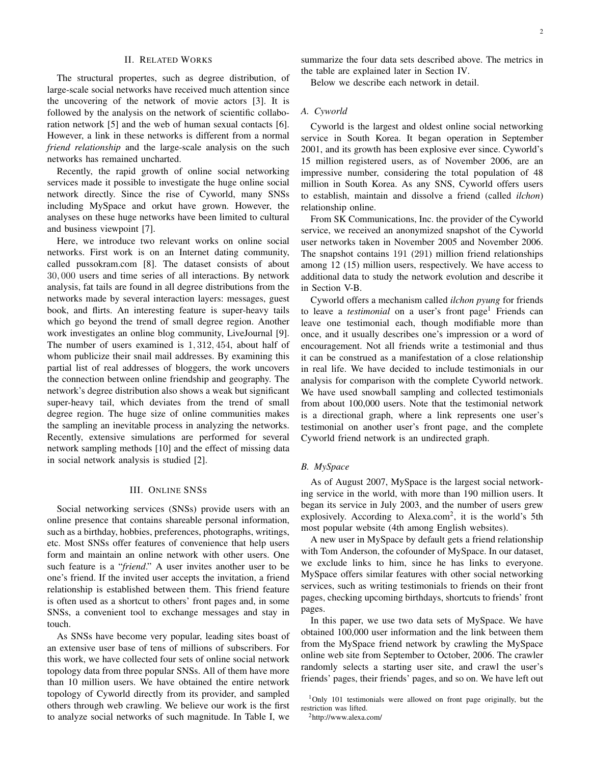# II. RELATED WORKS

The structural propertes, such as degree distribution, of large-scale social networks have received much attention since the uncovering of the network of movie actors [3]. It is followed by the analysis on the network of scientific collaboration network [5] and the web of human sexual contacts [6]. However, a link in these networks is different from a normal *friend relationship* and the large-scale analysis on the such networks has remained uncharted.

Recently, the rapid growth of online social networking services made it possible to investigate the huge online social network directly. Since the rise of Cyworld, many SNSs including MySpace and orkut have grown. However, the analyses on these huge networks have been limited to cultural and business viewpoint [7].

Here, we introduce two relevant works on online social networks. First work is on an Internet dating community, called pussokram.com [8]. The dataset consists of about 30, 000 users and time series of all interactions. By network analysis, fat tails are found in all degree distributions from the networks made by several interaction layers: messages, guest book, and flirts. An interesting feature is super-heavy tails which go beyond the trend of small degree region. Another work investigates an online blog community, LiveJournal [9]. The number of users examined is 1, 312, 454, about half of whom publicize their snail mail addresses. By examining this partial list of real addresses of bloggers, the work uncovers the connection between online friendship and geography. The network's degree distribution also shows a weak but significant super-heavy tail, which deviates from the trend of small degree region. The huge size of online communities makes the sampling an inevitable process in analyzing the networks. Recently, extensive simulations are performed for several network sampling methods [10] and the effect of missing data in social network analysis is studied [2].

# III. ONLINE SNSS

Social networking services (SNSs) provide users with an online presence that contains shareable personal information, such as a birthday, hobbies, preferences, photographs, writings, etc. Most SNSs offer features of convenience that help users form and maintain an online network with other users. One such feature is a "*friend*." A user invites another user to be one's friend. If the invited user accepts the invitation, a friend relationship is established between them. This friend feature is often used as a shortcut to others' front pages and, in some SNSs, a convenient tool to exchange messages and stay in touch.

As SNSs have become very popular, leading sites boast of an extensive user base of tens of millions of subscribers. For this work, we have collected four sets of online social network topology data from three popular SNSs. All of them have more than 10 million users. We have obtained the entire network topology of Cyworld directly from its provider, and sampled others through web crawling. We believe our work is the first to analyze social networks of such magnitude. In Table I, we

summarize the four data sets described above. The metrics in the table are explained later in Section IV.

Below we describe each network in detail.

# *A. Cyworld*

Cyworld is the largest and oldest online social networking service in South Korea. It began operation in September 2001, and its growth has been explosive ever since. Cyworld's 15 million registered users, as of November 2006, are an impressive number, considering the total population of 48 million in South Korea. As any SNS, Cyworld offers users to establish, maintain and dissolve a friend (called *ilchon*) relationship online.

From SK Communications, Inc. the provider of the Cyworld service, we received an anonymized snapshot of the Cyworld user networks taken in November 2005 and November 2006. The snapshot contains 191 (291) million friend relationships among 12 (15) million users, respectively. We have access to additional data to study the network evolution and describe it in Section V-B.

Cyworld offers a mechanism called *ilchon pyung* for friends to leave a *testimonial* on a user's front page<sup>1</sup> Friends can leave one testimonial each, though modifiable more than once, and it usually describes one's impression or a word of encouragement. Not all friends write a testimonial and thus it can be construed as a manifestation of a close relationship in real life. We have decided to include testimonials in our analysis for comparison with the complete Cyworld network. We have used snowball sampling and collected testimonials from about 100,000 users. Note that the testimonial network is a directional graph, where a link represents one user's testimonial on another user's front page, and the complete Cyworld friend network is an undirected graph.

# *B. MySpace*

As of August 2007, MySpace is the largest social networking service in the world, with more than 190 million users. It began its service in July 2003, and the number of users grew explosively. According to Alexa.com<sup>2</sup>, it is the world's 5th most popular website (4th among English websites).

A new user in MySpace by default gets a friend relationship with Tom Anderson, the cofounder of MySpace. In our dataset, we exclude links to him, since he has links to everyone. MySpace offers similar features with other social networking services, such as writing testimonials to friends on their front pages, checking upcoming birthdays, shortcuts to friends' front pages.

In this paper, we use two data sets of MySpace. We have obtained 100,000 user information and the link between them from the MySpace friend network by crawling the MySpace online web site from September to October, 2006. The crawler randomly selects a starting user site, and crawl the user's friends' pages, their friends' pages, and so on. We have left out

 $1$ Only 101 testimonials were allowed on front page originally, but the restriction was lifted.

<sup>2</sup>http://www.alexa.com/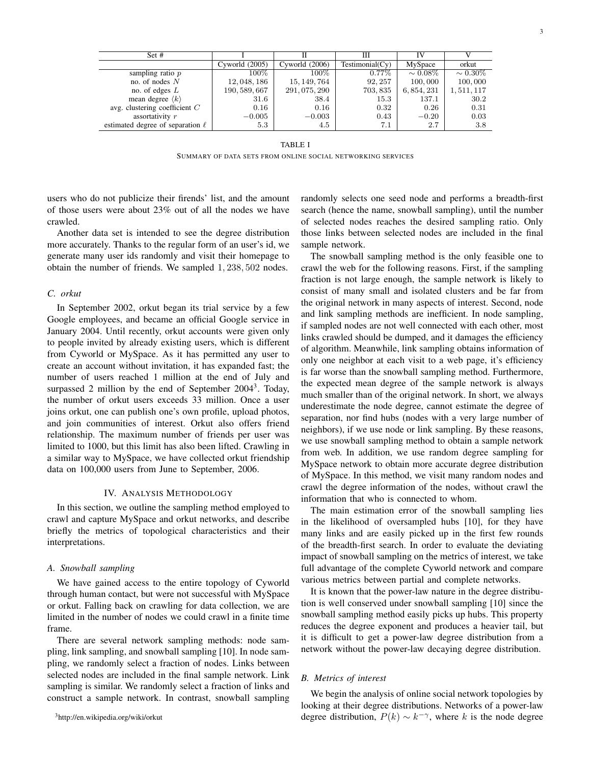| Set #                                 |                  |                  | Ш               | IV            |               |
|---------------------------------------|------------------|------------------|-----------------|---------------|---------------|
|                                       | Cyworld $(2005)$ | Cyworld $(2006)$ | Testimonial(Cy) | MySpace       | orkut         |
| sampling ratio $p$                    | $100\%$          | $100\%$          | $0.77\%$        | $\sim 0.08\%$ | $\sim 0.30\%$ |
| no. of nodes $N$                      | 12, 048, 186     | 15, 149, 764     | 92, 257         | 100,000       | 100,000       |
| no. of edges $L$                      | 190, 589, 667    | 291, 075, 290    | 703, 835        | 6, 854, 231   | 1,511,117     |
| mean degree $\langle k \rangle$       | 31.6             | 38.4             | 15.3            | 137.1         | 30.2          |
| avg. clustering coefficient $C$       | 0.16             | 0.16             | 0.32            | 0.26          | 0.31          |
| assortativity r                       | $-0.005$         | $-0.003$         | 0.43            | $-0.20$       | 0.03          |
| estimated degree of separation $\ell$ | 5.3              | 4.5              | 7.1             | 2.7           | 3.8           |

#### TABLE I

SUMMARY OF DATA SETS FROM ONLINE SOCIAL NETWORKING SERVICES

users who do not publicize their firends' list, and the amount of those users were about 23% out of all the nodes we have crawled.

Another data set is intended to see the degree distribution more accurately. Thanks to the regular form of an user's id, we generate many user ids randomly and visit their homepage to obtain the number of friends. We sampled 1, 238, 502 nodes.

# *C. orkut*

In September 2002, orkut began its trial service by a few Google employees, and became an official Google service in January 2004. Until recently, orkut accounts were given only to people invited by already existing users, which is different from Cyworld or MySpace. As it has permitted any user to create an account without invitation, it has expanded fast; the number of users reached 1 million at the end of July and surpassed 2 million by the end of September 2004<sup>3</sup>. Today, the number of orkut users exceeds 33 million. Once a user joins orkut, one can publish one's own profile, upload photos, and join communities of interest. Orkut also offers friend relationship. The maximum number of friends per user was limited to 1000, but this limit has also been lifted. Crawling in a similar way to MySpace, we have collected orkut friendship data on 100,000 users from June to September, 2006.

# IV. ANALYSIS METHODOLOGY

In this section, we outline the sampling method employed to crawl and capture MySpace and orkut networks, and describe briefly the metrics of topological characteristics and their interpretations.

# *A. Snowball sampling*

We have gained access to the entire topology of Cyworld through human contact, but were not successful with MySpace or orkut. Falling back on crawling for data collection, we are limited in the number of nodes we could crawl in a finite time frame.

There are several network sampling methods: node sampling, link sampling, and snowball sampling [10]. In node sampling, we randomly select a fraction of nodes. Links between selected nodes are included in the final sample network. Link sampling is similar. We randomly select a fraction of links and construct a sample network. In contrast, snowball sampling randomly selects one seed node and performs a breadth-first search (hence the name, snowball sampling), until the number of selected nodes reaches the desired sampling ratio. Only those links between selected nodes are included in the final sample network.

The snowball sampling method is the only feasible one to crawl the web for the following reasons. First, if the sampling fraction is not large enough, the sample network is likely to consist of many small and isolated clusters and be far from the original network in many aspects of interest. Second, node and link sampling methods are inefficient. In node sampling, if sampled nodes are not well connected with each other, most links crawled should be dumped, and it damages the efficiency of algorithm. Meanwhile, link sampling obtains information of only one neighbor at each visit to a web page, it's efficiency is far worse than the snowball sampling method. Furthermore, the expected mean degree of the sample network is always much smaller than of the original network. In short, we always underestimate the node degree, cannot estimate the degree of separation, nor find hubs (nodes with a very large number of neighbors), if we use node or link sampling. By these reasons, we use snowball sampling method to obtain a sample network from web. In addition, we use random degree sampling for MySpace network to obtain more accurate degree distribution of MySpace. In this method, we visit many random nodes and crawl the degree information of the nodes, without crawl the information that who is connected to whom.

The main estimation error of the snowball sampling lies in the likelihood of oversampled hubs [10], for they have many links and are easily picked up in the first few rounds of the breadth-first search. In order to evaluate the deviating impact of snowball sampling on the metrics of interest, we take full advantage of the complete Cyworld network and compare various metrics between partial and complete networks.

It is known that the power-law nature in the degree distribution is well conserved under snowball sampling [10] since the snowball sampling method easily picks up hubs. This property reduces the degree exponent and produces a heavier tail, but it is difficult to get a power-law degree distribution from a network without the power-law decaying degree distribution.

# *B. Metrics of interest*

We begin the analysis of online social network topologies by looking at their degree distributions. Networks of a power-law degree distribution,  $P(k) \sim k^{-\gamma}$ , where k is the node degree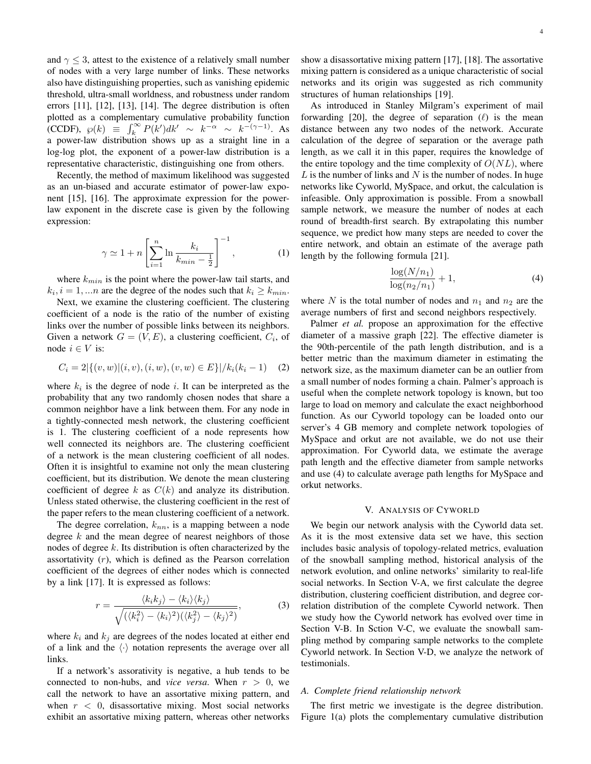and  $\gamma$  < 3, attest to the existence of a relatively small number of nodes with a very large number of links. These networks also have distinguishing properties, such as vanishing epidemic threshold, ultra-small worldness, and robustness under random errors [11], [12], [13], [14]. The degree distribution is often plotted as a complementary cumulative probability function (CCDF),  $\wp(k) \equiv \int_k^{\infty} P(k')dk' \sim k^{-\alpha} \sim k^{-(\gamma-1)}$ . As a power-law distribution shows up as a straight line in a log-log plot, the exponent of a power-law distribution is a representative characteristic, distinguishing one from others.

Recently, the method of maximum likelihood was suggested as an un-biased and accurate estimator of power-law exponent [15], [16]. The approximate expression for the powerlaw exponent in the discrete case is given by the following expression:

$$
\gamma \simeq 1 + n \left[ \sum_{i=1}^{n} \ln \frac{k_i}{k_{min} - \frac{1}{2}} \right]^{-1}, \qquad (1)
$$

where  $k_{min}$  is the point where the power-law tail starts, and  $k_i$ ,  $i = 1, ...n$  are the degree of the nodes such that  $k_i \geq k_{min}$ .

Next, we examine the clustering coefficient. The clustering coefficient of a node is the ratio of the number of existing links over the number of possible links between its neighbors. Given a network  $G = (V, E)$ , a clustering coefficient,  $C_i$ , of node  $i \in V$  is:

$$
C_i = 2|\{(v, w) | (i, v), (i, w), (v, w) \in E\}| / k_i(k_i - 1)
$$
 (2)

where  $k_i$  is the degree of node i. It can be interpreted as the probability that any two randomly chosen nodes that share a common neighbor have a link between them. For any node in a tightly-connected mesh network, the clustering coefficient is 1. The clustering coefficient of a node represents how well connected its neighbors are. The clustering coefficient of a network is the mean clustering coefficient of all nodes. Often it is insightful to examine not only the mean clustering coefficient, but its distribution. We denote the mean clustering coefficient of degree k as  $C(k)$  and analyze its distribution. Unless stated otherwise, the clustering coefficient in the rest of the paper refers to the mean clustering coefficient of a network.

The degree correlation,  $k_{nn}$ , is a mapping between a node degree  $k$  and the mean degree of nearest neighbors of those nodes of degree  $k$ . Its distribution is often characterized by the assortativity  $(r)$ , which is defined as the Pearson correlation coefficient of the degrees of either nodes which is connected by a link [17]. It is expressed as follows:

$$
r = \frac{\langle k_i k_j \rangle - \langle k_i \rangle \langle k_j \rangle}{\sqrt{(\langle k_i^2 \rangle - \langle k_i \rangle^2)(\langle k_j^2 \rangle - \langle k_j \rangle^2)}},\tag{3}
$$

where  $k_i$  and  $k_j$  are degrees of the nodes located at either end of a link and the  $\langle \cdot \rangle$  notation represents the average over all links.

If a network's assorativity is negative, a hub tends to be connected to non-hubs, and *vice versa*. When  $r > 0$ , we call the network to have an assortative mixing pattern, and when  $r < 0$ , disassortative mixing. Most social networks exhibit an assortative mixing pattern, whereas other networks show a disassortative mixing pattern [17], [18]. The assortative mixing pattern is considered as a unique characteristic of social networks and its origin was suggested as rich community structures of human relationships [19].

As introduced in Stanley Milgram's experiment of mail forwarding [20], the degree of separation  $(\ell)$  is the mean distance between any two nodes of the network. Accurate calculation of the degree of separation or the average path length, as we call it in this paper, requires the knowledge of the entire topology and the time complexity of  $O(NL)$ , where  $L$  is the number of links and  $N$  is the number of nodes. In huge networks like Cyworld, MySpace, and orkut, the calculation is infeasible. Only approximation is possible. From a snowball sample network, we measure the number of nodes at each round of breadth-first search. By extrapolating this number sequence, we predict how many steps are needed to cover the entire network, and obtain an estimate of the average path length by the following formula [21].

$$
\frac{\log(N/n_1)}{\log(n_2/n_1)} + 1,
$$
\n(4)

where N is the total number of nodes and  $n_1$  and  $n_2$  are the average numbers of first and second neighbors respectively.

Palmer *et al.* propose an approximation for the effective diameter of a massive graph [22]. The effective diameter is the 90th-percentile of the path length distribution, and is a better metric than the maximum diameter in estimating the network size, as the maximum diameter can be an outlier from a small number of nodes forming a chain. Palmer's approach is useful when the complete network topology is known, but too large to load on memory and calculate the exact neighborhood function. As our Cyworld topology can be loaded onto our server's 4 GB memory and complete network topologies of MySpace and orkut are not available, we do not use their approximation. For Cyworld data, we estimate the average path length and the effective diameter from sample networks and use (4) to calculate average path lengths for MySpace and orkut networks.

## V. ANALYSIS OF CYWORLD

We begin our network analysis with the Cyworld data set. As it is the most extensive data set we have, this section includes basic analysis of topology-related metrics, evaluation of the snowball sampling method, historical analysis of the network evolution, and online networks' similarity to real-life social networks. In Section V-A, we first calculate the degree distribution, clustering coefficient distribution, and degree correlation distribution of the complete Cyworld network. Then we study how the Cyworld network has evolved over time in Section V-B. In Sction V-C, we evaluate the snowball sampling method by comparing sample networks to the complete Cyworld network. In Section V-D, we analyze the network of testimonials.

# *A. Complete friend relationship network*

The first metric we investigate is the degree distribution. Figure 1(a) plots the complementary cumulative distribution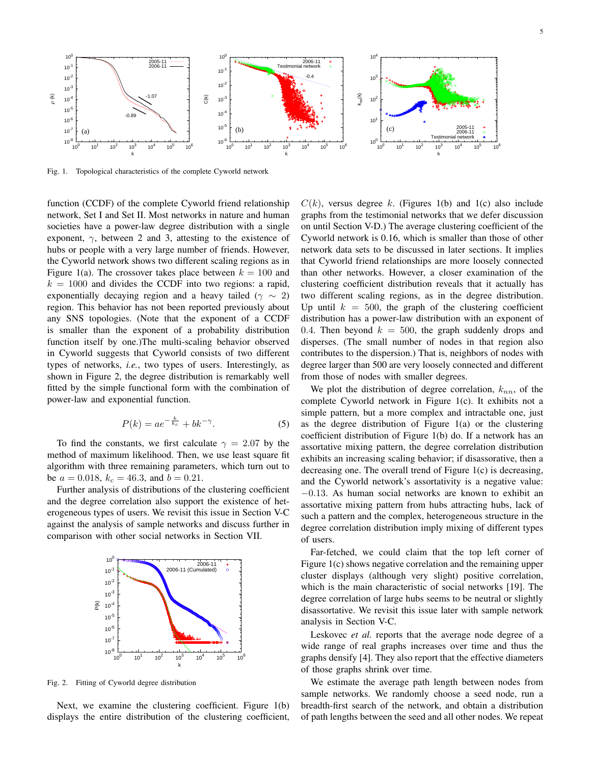

Fig. 1. Topological characteristics of the complete Cyworld network

function (CCDF) of the complete Cyworld friend relationship network, Set I and Set II. Most networks in nature and human societies have a power-law degree distribution with a single exponent,  $\gamma$ , between 2 and 3, attesting to the existence of hubs or people with a very large number of friends. However, the Cyworld network shows two different scaling regions as in Figure 1(a). The crossover takes place between  $k = 100$  and  $k = 1000$  and divides the CCDF into two regions: a rapid, exponentially decaying region and a heavy tailed ( $\gamma \sim 2$ ) region. This behavior has not been reported previously about any SNS topologies. (Note that the exponent of a CCDF is smaller than the exponent of a probability distribution function itself by one.)The multi-scaling behavior observed in Cyworld suggests that Cyworld consists of two different types of networks, *i.e.*, two types of users. Interestingly, as shown in Figure 2, the degree distribution is remarkably well fitted by the simple functional form with the combination of power-law and exponential function.

$$
P(k) = ae^{-\frac{k}{k_c}} + bk^{-\gamma}.
$$
 (5)

To find the constants, we first calculate  $\gamma = 2.07$  by the method of maximum likelihood. Then, we use least square fit algorithm with three remaining parameters, which turn out to be  $a = 0.018$ ,  $k_c = 46.3$ , and  $b = 0.21$ .

Further analysis of distributions of the clustering coefficient and the degree correlation also support the existence of heterogeneous types of users. We revisit this issue in Section V-C against the analysis of sample networks and discuss further in comparison with other social networks in Section VII.



Fig. 2. Fitting of Cyworld degree distribution

Next, we examine the clustering coefficient. Figure 1(b) displays the entire distribution of the clustering coefficient,  $C(k)$ , versus degree k. (Figures 1(b) and 1(c) also include graphs from the testimonial networks that we defer discussion on until Section V-D.) The average clustering coefficient of the Cyworld network is 0.16, which is smaller than those of other network data sets to be discussed in later sections. It implies that Cyworld friend relationships are more loosely connected than other networks. However, a closer examination of the clustering coefficient distribution reveals that it actually has two different scaling regions, as in the degree distribution. Up until  $k = 500$ , the graph of the clustering coefficient distribution has a power-law distribution with an exponent of 0.4. Then beyond  $k = 500$ , the graph suddenly drops and disperses. (The small number of nodes in that region also contributes to the dispersion.) That is, neighbors of nodes with degree larger than 500 are very loosely connected and different from those of nodes with smaller degrees.

We plot the distribution of degree correlation,  $k_{nn}$ , of the complete Cyworld network in Figure 1(c). It exhibits not a simple pattern, but a more complex and intractable one, just as the degree distribution of Figure 1(a) or the clustering coefficient distribution of Figure 1(b) do. If a network has an assortative mixing pattern, the degree correlation distribution exhibits an increasing scaling behavior; if disassorative, then a decreasing one. The overall trend of Figure 1(c) is decreasing, and the Cyworld network's assortativity is a negative value: −0.13. As human social networks are known to exhibit an assortative mixing pattern from hubs attracting hubs, lack of such a pattern and the complex, heterogeneous structure in the degree correlation distribution imply mixing of different types of users.

Far-fetched, we could claim that the top left corner of Figure 1(c) shows negative correlation and the remaining upper cluster displays (although very slight) positive correlation, which is the main characteristic of social networks [19]. The degree correlation of large hubs seems to be neutral or slightly disassortative. We revisit this issue later with sample network analysis in Section V-C.

Leskovec *et al.* reports that the average node degree of a wide range of real graphs increases over time and thus the graphs densify [4]. They also report that the effective diameters of those graphs shrink over time.

We estimate the average path length between nodes from sample networks. We randomly choose a seed node, run a breadth-first search of the network, and obtain a distribution of path lengths between the seed and all other nodes. We repeat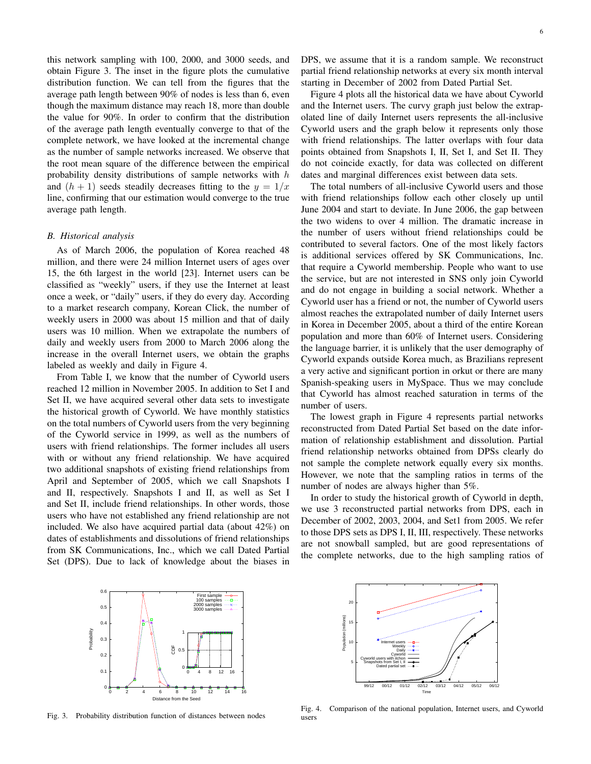this network sampling with 100, 2000, and 3000 seeds, and obtain Figure 3. The inset in the figure plots the cumulative distribution function. We can tell from the figures that the average path length between 90% of nodes is less than 6, even though the maximum distance may reach 18, more than double the value for 90%. In order to confirm that the distribution of the average path length eventually converge to that of the complete network, we have looked at the incremental change as the number of sample networks increased. We observe that the root mean square of the difference between the empirical probability density distributions of sample networks with  $h$ and  $(h + 1)$  seeds steadily decreases fitting to the  $y = 1/x$ line, confirming that our estimation would converge to the true average path length.

### *B. Historical analysis*

As of March 2006, the population of Korea reached 48 million, and there were 24 million Internet users of ages over 15, the 6th largest in the world [23]. Internet users can be classified as "weekly" users, if they use the Internet at least once a week, or "daily" users, if they do every day. According to a market research company, Korean Click, the number of weekly users in 2000 was about 15 million and that of daily users was 10 million. When we extrapolate the numbers of daily and weekly users from 2000 to March 2006 along the increase in the overall Internet users, we obtain the graphs labeled as weekly and daily in Figure 4.

From Table I, we know that the number of Cyworld users reached 12 million in November 2005. In addition to Set I and Set II, we have acquired several other data sets to investigate the historical growth of Cyworld. We have monthly statistics on the total numbers of Cyworld users from the very beginning of the Cyworld service in 1999, as well as the numbers of users with friend relationships. The former includes all users with or without any friend relationship. We have acquired two additional snapshots of existing friend relationships from April and September of 2005, which we call Snapshots I and II, respectively. Snapshots I and II, as well as Set I and Set II, include friend relationships. In other words, those users who have not established any friend relationship are not included. We also have acquired partial data (about 42%) on dates of establishments and dissolutions of friend relationships from SK Communications, Inc., which we call Dated Partial Set (DPS). Due to lack of knowledge about the biases in DPS, we assume that it is a random sample. We reconstruct partial friend relationship networks at every six month interval starting in December of 2002 from Dated Partial Set.

Figure 4 plots all the historical data we have about Cyworld and the Internet users. The curvy graph just below the extrapolated line of daily Internet users represents the all-inclusive Cyworld users and the graph below it represents only those with friend relationships. The latter overlaps with four data points obtained from Snapshots I, II, Set I, and Set II. They do not coincide exactly, for data was collected on different dates and marginal differences exist between data sets.

The total numbers of all-inclusive Cyworld users and those with friend relationships follow each other closely up until June 2004 and start to deviate. In June 2006, the gap between the two widens to over 4 million. The dramatic increase in the number of users without friend relationships could be contributed to several factors. One of the most likely factors is additional services offered by SK Communications, Inc. that require a Cyworld membership. People who want to use the service, but are not interested in SNS only join Cyworld and do not engage in building a social network. Whether a Cyworld user has a friend or not, the number of Cyworld users almost reaches the extrapolated number of daily Internet users in Korea in December 2005, about a third of the entire Korean population and more than 60% of Internet users. Considering the language barrier, it is unlikely that the user demography of Cyworld expands outside Korea much, as Brazilians represent a very active and significant portion in orkut or there are many Spanish-speaking users in MySpace. Thus we may conclude that Cyworld has almost reached saturation in terms of the number of users.

The lowest graph in Figure 4 represents partial networks reconstructed from Dated Partial Set based on the date information of relationship establishment and dissolution. Partial friend relationship networks obtained from DPSs clearly do not sample the complete network equally every six months. However, we note that the sampling ratios in terms of the number of nodes are always higher than 5%.

In order to study the historical growth of Cyworld in depth, we use 3 reconstructed partial networks from DPS, each in December of 2002, 2003, 2004, and Set1 from 2005. We refer to those DPS sets as DPS I, II, III, respectively. These networks are not snowball sampled, but are good representations of the complete networks, due to the high sampling ratios of



Fig. 3. Probability distribution function of distances between nodes



Fig. 4. Comparison of the national population, Internet users, and Cyworld users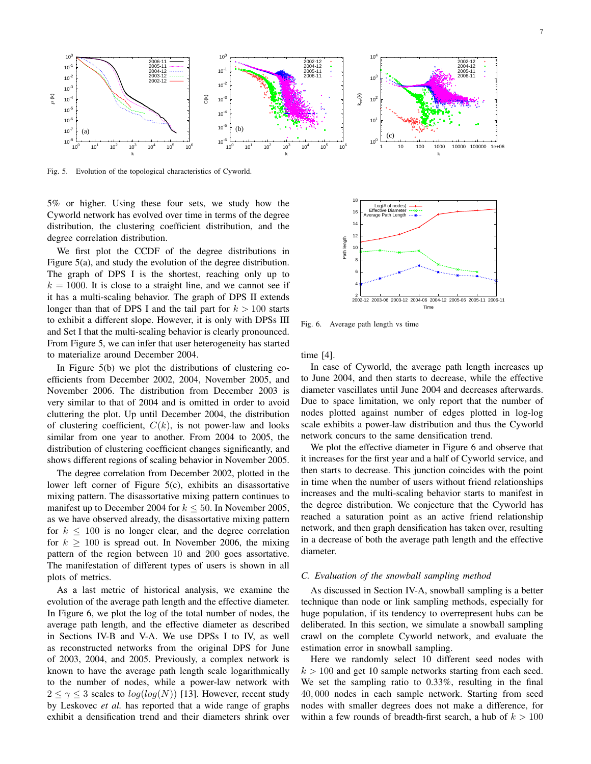

Fig. 5. Evolution of the topological characteristics of Cyworld.

5% or higher. Using these four sets, we study how the Cyworld network has evolved over time in terms of the degree distribution, the clustering coefficient distribution, and the degree correlation distribution.

We first plot the CCDF of the degree distributions in Figure 5(a), and study the evolution of the degree distribution. The graph of DPS I is the shortest, reaching only up to  $k = 1000$ . It is close to a straight line, and we cannot see if it has a multi-scaling behavior. The graph of DPS II extends longer than that of DPS I and the tail part for  $k > 100$  starts to exhibit a different slope. However, it is only with DPSs III and Set I that the multi-scaling behavior is clearly pronounced. From Figure 5, we can infer that user heterogeneity has started to materialize around December 2004.

In Figure 5(b) we plot the distributions of clustering coefficients from December 2002, 2004, November 2005, and November 2006. The distribution from December 2003 is very similar to that of 2004 and is omitted in order to avoid cluttering the plot. Up until December 2004, the distribution of clustering coefficient,  $C(k)$ , is not power-law and looks similar from one year to another. From 2004 to 2005, the distribution of clustering coefficient changes significantly, and shows different regions of scaling behavior in November 2005.

The degree correlation from December 2002, plotted in the lower left corner of Figure 5(c), exhibits an disassortative mixing pattern. The disassortative mixing pattern continues to manifest up to December 2004 for  $k \leq 50$ . In November 2005, as we have observed already, the disassortative mixing pattern for  $k \leq 100$  is no longer clear, and the degree correlation for  $k > 100$  is spread out. In November 2006, the mixing pattern of the region between 10 and 200 goes assortative. The manifestation of different types of users is shown in all plots of metrics.

As a last metric of historical analysis, we examine the evolution of the average path length and the effective diameter. In Figure 6, we plot the log of the total number of nodes, the average path length, and the effective diameter as described in Sections IV-B and V-A. We use DPSs I to IV, as well as reconstructed networks from the original DPS for June of 2003, 2004, and 2005. Previously, a complex network is known to have the average path length scale logarithmically to the number of nodes, while a power-law network with  $2 \leq \gamma \leq 3$  scales to  $log(log(N))$  [13]. However, recent study by Leskovec *et al.* has reported that a wide range of graphs exhibit a densification trend and their diameters shrink over



Fig. 6. Average path length vs time

time [4].

In case of Cyworld, the average path length increases up to June 2004, and then starts to decrease, while the effective diameter vascillates until June 2004 and decreases afterwards. Due to space limitation, we only report that the number of nodes plotted against number of edges plotted in log-log scale exhibits a power-law distribution and thus the Cyworld network concurs to the same densification trend.

We plot the effective diameter in Figure 6 and observe that it increases for the first year and a half of Cyworld service, and then starts to decrease. This junction coincides with the point in time when the number of users without friend relationships increases and the multi-scaling behavior starts to manifest in the degree distribution. We conjecture that the Cyworld has reached a saturation point as an active friend relationship network, and then graph densification has taken over, resulting in a decrease of both the average path length and the effective diameter.

## *C. Evaluation of the snowball sampling method*

As discussed in Section IV-A, snowball sampling is a better technique than node or link sampling methods, especially for huge population, if its tendency to overrepresent hubs can be deliberated. In this section, we simulate a snowball sampling crawl on the complete Cyworld network, and evaluate the estimation error in snowball sampling.

Here we randomly select 10 different seed nodes with  $k > 100$  and get 10 sample networks starting from each seed. We set the sampling ratio to 0.33%, resulting in the final 40, 000 nodes in each sample network. Starting from seed nodes with smaller degrees does not make a difference, for within a few rounds of breadth-first search, a hub of  $k > 100$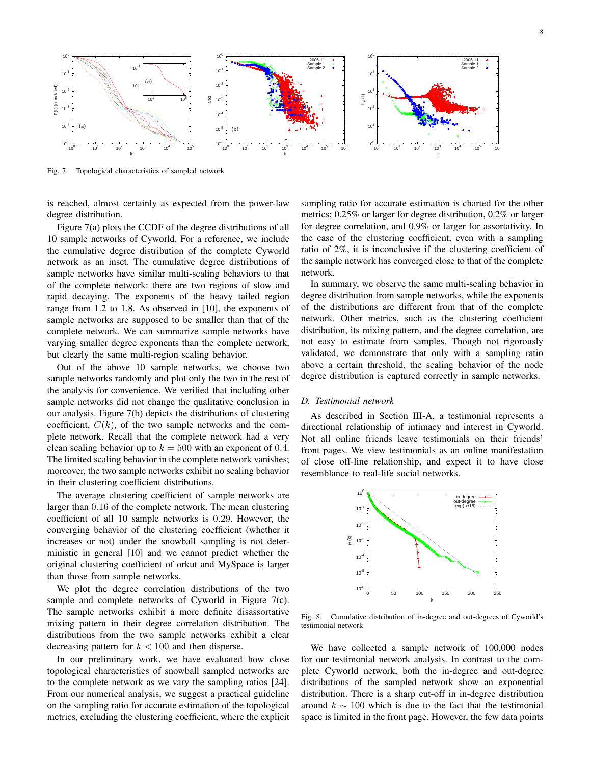

Fig. 7. Topological characteristics of sampled network

is reached, almost certainly as expected from the power-law degree distribution.

Figure 7(a) plots the CCDF of the degree distributions of all 10 sample networks of Cyworld. For a reference, we include the cumulative degree distribution of the complete Cyworld network as an inset. The cumulative degree distributions of sample networks have similar multi-scaling behaviors to that of the complete network: there are two regions of slow and rapid decaying. The exponents of the heavy tailed region range from 1.2 to 1.8. As observed in [10], the exponents of sample networks are supposed to be smaller than that of the complete network. We can summarize sample networks have varying smaller degree exponents than the complete network, but clearly the same multi-region scaling behavior.

Out of the above 10 sample networks, we choose two sample networks randomly and plot only the two in the rest of the analysis for convenience. We verified that including other sample networks did not change the qualitative conclusion in our analysis. Figure 7(b) depicts the distributions of clustering coefficient,  $C(k)$ , of the two sample networks and the complete network. Recall that the complete network had a very clean scaling behavior up to  $k = 500$  with an exponent of 0.4. The limited scaling behavior in the complete network vanishes; moreover, the two sample networks exhibit no scaling behavior in their clustering coefficient distributions.

The average clustering coefficient of sample networks are larger than 0.16 of the complete network. The mean clustering coefficient of all 10 sample networks is 0.29. However, the converging behavior of the clustering coefficient (whether it increases or not) under the snowball sampling is not deterministic in general [10] and we cannot predict whether the original clustering coefficient of orkut and MySpace is larger than those from sample networks.

We plot the degree correlation distributions of the two sample and complete networks of Cyworld in Figure 7(c). The sample networks exhibit a more definite disassortative mixing pattern in their degree correlation distribution. The distributions from the two sample networks exhibit a clear decreasing pattern for  $k < 100$  and then disperse.

In our preliminary work, we have evaluated how close topological characteristics of snowball sampled networks are to the complete network as we vary the sampling ratios [24]. From our numerical analysis, we suggest a practical guideline on the sampling ratio for accurate estimation of the topological metrics, excluding the clustering coefficient, where the explicit sampling ratio for accurate estimation is charted for the other metrics; 0.25% or larger for degree distribution, 0.2% or larger for degree correlation, and 0.9% or larger for assortativity. In the case of the clustering coefficient, even with a sampling ratio of 2%, it is inconclusive if the clustering coefficient of the sample network has converged close to that of the complete network.

In summary, we observe the same multi-scaling behavior in degree distribution from sample networks, while the exponents of the distributions are different from that of the complete network. Other metrics, such as the clustering coefficient distribution, its mixing pattern, and the degree correlation, are not easy to estimate from samples. Though not rigorously validated, we demonstrate that only with a sampling ratio above a certain threshold, the scaling behavior of the node degree distribution is captured correctly in sample networks.

# *D. Testimonial network*

As described in Section III-A, a testimonial represents a directional relationship of intimacy and interest in Cyworld. Not all online friends leave testimonials on their friends' front pages. We view testimonials as an online manifestation of close off-line relationship, and expect it to have close resemblance to real-life social networks.



Fig. 8. Cumulative distribution of in-degree and out-degrees of Cyworld's testimonial network

We have collected a sample network of 100,000 nodes for our testimonial network analysis. In contrast to the complete Cyworld network, both the in-degree and out-degree distributions of the sampled network show an exponential distribution. There is a sharp cut-off in in-degree distribution around  $k \sim 100$  which is due to the fact that the testimonial space is limited in the front page. However, the few data points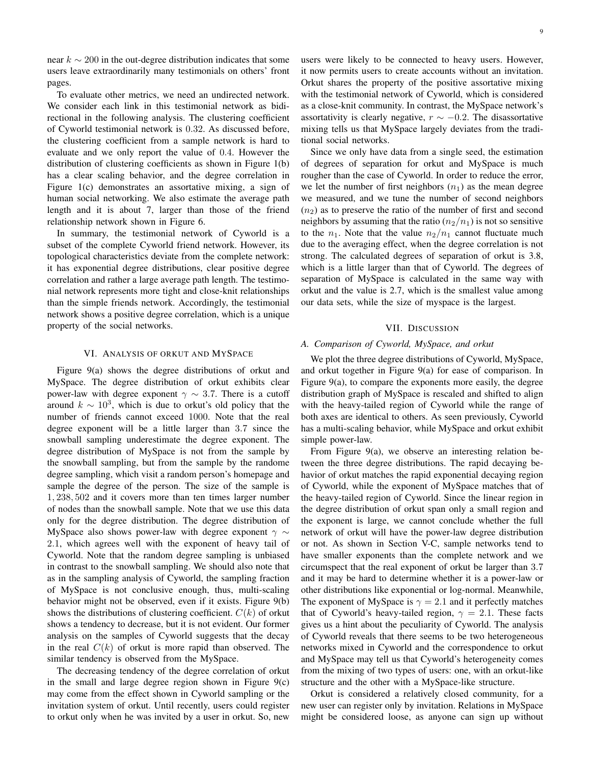near  $k \sim 200$  in the out-degree distribution indicates that some users leave extraordinarily many testimonials on others' front pages.

To evaluate other metrics, we need an undirected network. We consider each link in this testimonial network as bidirectional in the following analysis. The clustering coefficient of Cyworld testimonial network is 0.32. As discussed before, the clustering coefficient from a sample network is hard to evaluate and we only report the value of 0.4. However the distribution of clustering coefficients as shown in Figure 1(b) has a clear scaling behavior, and the degree correlation in Figure 1(c) demonstrates an assortative mixing, a sign of human social networking. We also estimate the average path length and it is about 7, larger than those of the friend relationship network shown in Figure 6.

In summary, the testimonial network of Cyworld is a subset of the complete Cyworld friend network. However, its topological characteristics deviate from the complete network: it has exponential degree distributions, clear positive degree correlation and rather a large average path length. The testimonial network represents more tight and close-knit relationships than the simple friends network. Accordingly, the testimonial network shows a positive degree correlation, which is a unique property of the social networks.

# VI. ANALYSIS OF ORKUT AND MYSPACE

Figure 9(a) shows the degree distributions of orkut and MySpace. The degree distribution of orkut exhibits clear power-law with degree exponent  $\gamma \sim 3.7$ . There is a cutoff around  $k \sim 10^3$ , which is due to orkut's old policy that the number of friends cannot exceed 1000. Note that the real degree exponent will be a little larger than 3.7 since the snowball sampling underestimate the degree exponent. The degree distribution of MySpace is not from the sample by the snowball sampling, but from the sample by the randome degree sampling, which visit a random person's homepage and sample the degree of the person. The size of the sample is 1, 238, 502 and it covers more than ten times larger number of nodes than the snowball sample. Note that we use this data only for the degree distribution. The degree distribution of MySpace also shows power-law with degree exponent  $\gamma \sim$ 2.1, which agrees well with the exponent of heavy tail of Cyworld. Note that the random degree sampling is unbiased in contrast to the snowball sampling. We should also note that as in the sampling analysis of Cyworld, the sampling fraction of MySpace is not conclusive enough, thus, multi-scaling behavior might not be observed, even if it exists. Figure 9(b) shows the distributions of clustering coefficient.  $C(k)$  of orkut shows a tendency to decrease, but it is not evident. Our former analysis on the samples of Cyworld suggests that the decay in the real  $C(k)$  of orkut is more rapid than observed. The similar tendency is observed from the MySpace.

The decreasing tendency of the degree correlation of orkut in the small and large degree region shown in Figure  $9(c)$ may come from the effect shown in Cyworld sampling or the invitation system of orkut. Until recently, users could register to orkut only when he was invited by a user in orkut. So, new users were likely to be connected to heavy users. However, it now permits users to create accounts without an invitation. Orkut shares the property of the positive assortative mixing with the testimonial network of Cyworld, which is considered as a close-knit community. In contrast, the MySpace network's assortativity is clearly negative,  $r \sim -0.2$ . The disassortative mixing tells us that MySpace largely deviates from the traditional social networks.

Since we only have data from a single seed, the estimation of degrees of separation for orkut and MySpace is much rougher than the case of Cyworld. In order to reduce the error, we let the number of first neighbors  $(n_1)$  as the mean degree we measured, and we tune the number of second neighbors  $(n<sub>2</sub>)$  as to preserve the ratio of the number of first and second neighbors by assuming that the ratio  $(n_2/n_1)$  is not so sensitive to the  $n_1$ . Note that the value  $n_2/n_1$  cannot fluctuate much due to the averaging effect, when the degree correlation is not strong. The calculated degrees of separation of orkut is 3.8, which is a little larger than that of Cyworld. The degrees of separation of MySpace is calculated in the same way with orkut and the value is 2.7, which is the smallest value among our data sets, while the size of myspace is the largest.

## VII. DISCUSSION

# *A. Comparison of Cyworld, MySpace, and orkut*

We plot the three degree distributions of Cyworld, MySpace, and orkut together in Figure 9(a) for ease of comparison. In Figure 9(a), to compare the exponents more easily, the degree distribution graph of MySpace is rescaled and shifted to align with the heavy-tailed region of Cyworld while the range of both axes are identical to others. As seen previously, Cyworld has a multi-scaling behavior, while MySpace and orkut exhibit simple power-law.

From Figure 9(a), we observe an interesting relation between the three degree distributions. The rapid decaying behavior of orkut matches the rapid exponential decaying region of Cyworld, while the exponent of MySpace matches that of the heavy-tailed region of Cyworld. Since the linear region in the degree distribution of orkut span only a small region and the exponent is large, we cannot conclude whether the full network of orkut will have the power-law degree distribution or not. As shown in Section V-C, sample networks tend to have smaller exponents than the complete network and we circumspect that the real exponent of orkut be larger than 3.7 and it may be hard to determine whether it is a power-law or other distributions like exponential or log-normal. Meanwhile, The exponent of MySpace is  $\gamma = 2.1$  and it perfectly matches that of Cyworld's heavy-tailed region,  $\gamma = 2.1$ . These facts gives us a hint about the peculiarity of Cyworld. The analysis of Cyworld reveals that there seems to be two heterogeneous networks mixed in Cyworld and the correspondence to orkut and MySpace may tell us that Cyworld's heterogeneity comes from the mixing of two types of users: one, with an orkut-like structure and the other with a MySpace-like structure.

Orkut is considered a relatively closed community, for a new user can register only by invitation. Relations in MySpace might be considered loose, as anyone can sign up without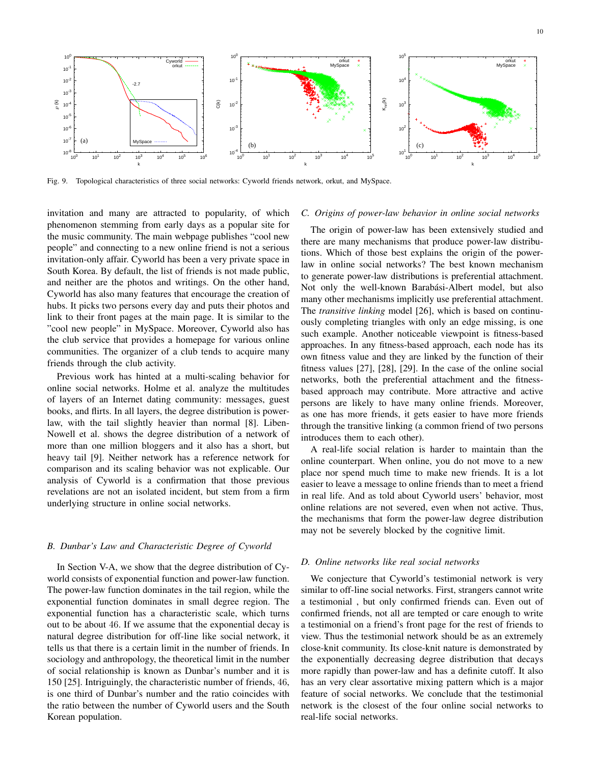

Fig. 9. Topological characteristics of three social networks: Cyworld friends network, orkut, and MySpace.

invitation and many are attracted to popularity, of which phenomenon stemming from early days as a popular site for the music community. The main webpage publishes "cool new people" and connecting to a new online friend is not a serious invitation-only affair. Cyworld has been a very private space in South Korea. By default, the list of friends is not made public, and neither are the photos and writings. On the other hand, Cyworld has also many features that encourage the creation of hubs. It picks two persons every day and puts their photos and link to their front pages at the main page. It is similar to the "cool new people" in MySpace. Moreover, Cyworld also has the club service that provides a homepage for various online communities. The organizer of a club tends to acquire many friends through the club activity.

Previous work has hinted at a multi-scaling behavior for online social networks. Holme et al. analyze the multitudes of layers of an Internet dating community: messages, guest books, and flirts. In all layers, the degree distribution is powerlaw, with the tail slightly heavier than normal [8]. Liben-Nowell et al. shows the degree distribution of a network of more than one million bloggers and it also has a short, but heavy tail [9]. Neither network has a reference network for comparison and its scaling behavior was not explicable. Our analysis of Cyworld is a confirmation that those previous revelations are not an isolated incident, but stem from a firm underlying structure in online social networks.

# *B. Dunbar's Law and Characteristic Degree of Cyworld*

In Section V-A, we show that the degree distribution of Cyworld consists of exponential function and power-law function. The power-law function dominates in the tail region, while the exponential function dominates in small degree region. The exponential function has a characteristic scale, which turns out to be about 46. If we assume that the exponential decay is natural degree distribution for off-line like social network, it tells us that there is a certain limit in the number of friends. In sociology and anthropology, the theoretical limit in the number of social relationship is known as Dunbar's number and it is 150 [25]. Intriguingly, the characteristic number of friends, 46, is one third of Dunbar's number and the ratio coincides with the ratio between the number of Cyworld users and the South Korean population.

## *C. Origins of power-law behavior in online social networks*

The origin of power-law has been extensively studied and there are many mechanisms that produce power-law distributions. Which of those best explains the origin of the powerlaw in online social networks? The best known mechanism to generate power-law distributions is preferential attachment. Not only the well-known Barabási-Albert model, but also many other mechanisms implicitly use preferential attachment. The *transitive linking* model [26], which is based on continuously completing triangles with only an edge missing, is one such example. Another noticeable viewpoint is fitness-based approaches. In any fitness-based approach, each node has its own fitness value and they are linked by the function of their fitness values [27], [28], [29]. In the case of the online social networks, both the preferential attachment and the fitnessbased approach may contribute. More attractive and active persons are likely to have many online friends. Moreover, as one has more friends, it gets easier to have more friends through the transitive linking (a common friend of two persons introduces them to each other).

A real-life social relation is harder to maintain than the online counterpart. When online, you do not move to a new place nor spend much time to make new friends. It is a lot easier to leave a message to online friends than to meet a friend in real life. And as told about Cyworld users' behavior, most online relations are not severed, even when not active. Thus, the mechanisms that form the power-law degree distribution may not be severely blocked by the cognitive limit.

## *D. Online networks like real social networks*

We conjecture that Cyworld's testimonial network is very similar to off-line social networks. First, strangers cannot write a testimonial , but only confirmed friends can. Even out of confirmed friends, not all are tempted or care enough to write a testimonial on a friend's front page for the rest of friends to view. Thus the testimonial network should be as an extremely close-knit community. Its close-knit nature is demonstrated by the exponentially decreasing degree distribution that decays more rapidly than power-law and has a definite cutoff. It also has an very clear assortative mixing pattern which is a major feature of social networks. We conclude that the testimonial network is the closest of the four online social networks to real-life social networks.